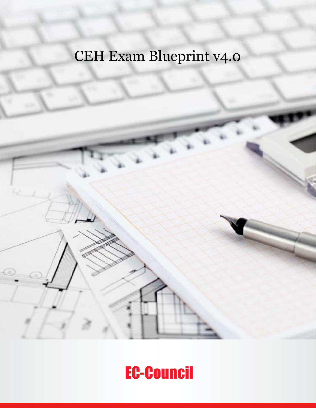## CEH Exam Blueprint v4.0

## EC-Council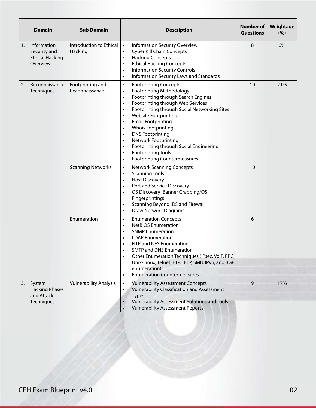|    | <b>Domain</b>                                                      | <b>Sub Domain</b>                  | <b>Description</b>                                                                                                                                                                                                                                                                                                                                                                                                                                                                                                                                                                                                                     | <b>Number of</b><br><b>Questions</b> | Weightage<br>(%) |
|----|--------------------------------------------------------------------|------------------------------------|----------------------------------------------------------------------------------------------------------------------------------------------------------------------------------------------------------------------------------------------------------------------------------------------------------------------------------------------------------------------------------------------------------------------------------------------------------------------------------------------------------------------------------------------------------------------------------------------------------------------------------------|--------------------------------------|------------------|
| 1. | Information<br>Security and<br><b>Ethical Hacking</b><br>Overview  | Introduction to Ethical<br>Hacking | <b>Information Security Overview</b><br>$\bullet$<br><b>Cyber Kill Chain Concepts</b><br>$\bullet$<br><b>Hacking Concepts</b><br>$\bullet$<br><b>Ethical Hacking Concepts</b><br>$\bullet$<br><b>Information Security Controls</b><br>$\bullet$<br>Information Security Laws and Standards<br>$\bullet$                                                                                                                                                                                                                                                                                                                                | 8                                    | 6%               |
| 2. | Reconnaissance<br>Techniques                                       | Footprinting and<br>Reconnaissance | <b>Footprinting Concepts</b><br>$\bullet$<br><b>Footprinting Methodology</b><br>$\bullet$<br>Footprinting through Search Engines<br>$\bullet$<br>Footprinting through Web Services<br>$\bullet$<br>Footprinting through Social Networking Sites<br>$\bullet$<br><b>Website Footprinting</b><br>$\bullet$<br><b>Email Footprinting</b><br>$\bullet$<br><b>Whois Footprinting</b><br>$\bullet$<br><b>DNS Footprinting</b><br>$\bullet$<br><b>Network Footprinting</b><br>$\bullet$<br>Footprinting through Social Engineering<br>$\bullet$<br><b>Footprinting Tools</b><br>$\bullet$<br><b>Footprinting Countermeasures</b><br>$\bullet$ | 10                                   | 21%              |
|    |                                                                    | <b>Scanning Networks</b>           | <b>Network Scanning Concepts</b><br>$\bullet$<br><b>Scanning Tools</b><br>$\bullet$<br><b>Host Discovery</b><br>$\bullet$<br>Port and Service Discovery<br>$\bullet$<br>OS Discovery (Banner Grabbing/OS<br>$\bullet$<br>Fingerprinting)<br>Scanning Beyond IDS and Firewall<br>$\bullet$<br>Draw Network Diagrams<br>$\bullet$                                                                                                                                                                                                                                                                                                        | 10                                   |                  |
|    |                                                                    | Enumeration                        | <b>Enumeration Concepts</b><br>$\bullet$<br><b>NetBIOS Enumeration</b><br>$\bullet$<br><b>SNMP Enumeration</b><br>$\bullet$<br><b>LDAP Enumeration</b><br>$\bullet$<br>NTP and NFS Enumeration<br><b>SMTP and DNS Enumeration</b><br>Other Enumeration Techniques (IPsec, VoIP, RPC,<br>$\bullet$<br>Unix/Linux, Telnet, FTP, TFTP, SMB, IPv6, and BGP<br>enumeration)<br><b>Enumeration Countermeasures</b><br>$\bullet$                                                                                                                                                                                                              | 6                                    |                  |
| 3. | System<br><b>Hacking Phases</b><br>and Attack<br><b>Techniques</b> | <b>Vulnerability Analysis</b>      | <b>Vulnerability Assessment Concepts</b><br>$\bullet$<br><b>Vulnerability Classification and Assessment</b><br>$\bullet$<br><b>Types</b><br><b>Vulnerability Assessment Solutions and Tools</b><br><b>Vulnerability Assessment Reports</b>                                                                                                                                                                                                                                                                                                                                                                                             | $\mathsf{q}$                         | 17%              |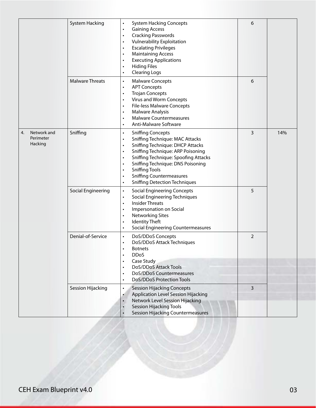|                                           | <b>System Hacking</b>  | <b>System Hacking Concepts</b><br>$\bullet$<br><b>Gaining Access</b><br>$\bullet$<br><b>Cracking Passwords</b><br>$\bullet$<br>Vulnerability Exploitation<br><b>Escalating Privileges</b><br>$\bullet$<br><b>Maintaining Access</b><br>$\bullet$<br><b>Executing Applications</b><br>$\bullet$<br><b>Hiding Files</b><br>$\bullet$<br><b>Clearing Logs</b><br>$\bullet$                                                                           | 6              |     |
|-------------------------------------------|------------------------|---------------------------------------------------------------------------------------------------------------------------------------------------------------------------------------------------------------------------------------------------------------------------------------------------------------------------------------------------------------------------------------------------------------------------------------------------|----------------|-----|
|                                           | <b>Malware Threats</b> | <b>Malware Concepts</b><br>$\bullet$<br><b>APT Concepts</b><br>$\bullet$<br><b>Trojan Concepts</b><br>$\bullet$<br>Virus and Worm Concepts<br>$\bullet$<br><b>File-less Malware Concepts</b><br>$\bullet$<br><b>Malware Analysis</b><br>$\bullet$<br><b>Malware Countermeasures</b><br>$\bullet$<br><b>Anti-Malware Software</b><br>$\bullet$                                                                                                     | 6              |     |
| Network and<br>4.<br>Perimeter<br>Hacking | Sniffing               | <b>Sniffing Concepts</b><br>$\bullet$<br><b>Sniffing Technique: MAC Attacks</b><br>$\bullet$<br>Sniffing Technique: DHCP Attacks<br>$\bullet$<br>Sniffing Technique: ARP Poisoning<br>$\bullet$<br>Sniffing Technique: Spoofing Attacks<br>$\bullet$<br>Sniffing Technique: DNS Poisoning<br>$\bullet$<br><b>Sniffing Tools</b><br>$\bullet$<br><b>Sniffing Countermeasures</b><br>$\bullet$<br><b>Sniffing Detection Techniques</b><br>$\bullet$ | 3              | 14% |
|                                           | Social Engineering     | <b>Social Engineering Concepts</b><br>$\bullet$<br><b>Social Engineering Techniques</b><br>$\bullet$<br><b>Insider Threats</b><br>$\bullet$<br>Impersonation on Social<br>$\bullet$<br><b>Networking Sites</b><br>$\bullet$<br><b>Identity Theft</b><br>$\bullet$<br><b>Social Engineering Countermeasures</b><br>$\bullet$                                                                                                                       | 5              |     |
|                                           | Denial-of-Service      | DoS/DDoS Concepts<br>$\bullet$<br>DoS/DDoS Attack Techniques<br>Botnets<br><b>DDoS</b>                                                                                                                                                                                                                                                                                                                                                            | $\overline{2}$ |     |
|                                           |                        | Case Study<br>DoS/DDoS Attack Tools<br>DoS/DDoS Countermeasures<br>DoS/DDoS Protection Tools<br>$\bullet$                                                                                                                                                                                                                                                                                                                                         |                |     |
|                                           | Session Hijacking      | <b>Session Hijacking Concepts</b><br>$\bullet$<br><b>Application Level Session Hijacking</b><br>Network Level Session Hijacking<br><b>Session Hijacking Tools</b><br><b>Session Hijacking Countermeasures</b>                                                                                                                                                                                                                                     | 3              |     |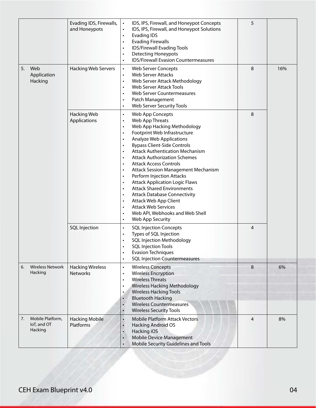|                                                  | Evading IDS, Firewalls,<br>and Honeypots   | IDS, IPS, Firewall, and Honeypot Concepts<br>$\bullet$<br>IDS, IPS, Firewall, and Honeypot Solutions<br>$\bullet$<br><b>Evading IDS</b><br>$\bullet$<br><b>Evading Firewalls</b><br>$\bullet$<br>IDS/Firewall Evading Tools<br>$\bullet$<br><b>Detecting Honeypots</b><br>$\bullet$<br><b>IDS/Firewall Evasion Countermeasures</b><br>$\bullet$                                                                                                                                                                                                                                                                                                                                                                                                                                                                                                | 5              |     |
|--------------------------------------------------|--------------------------------------------|------------------------------------------------------------------------------------------------------------------------------------------------------------------------------------------------------------------------------------------------------------------------------------------------------------------------------------------------------------------------------------------------------------------------------------------------------------------------------------------------------------------------------------------------------------------------------------------------------------------------------------------------------------------------------------------------------------------------------------------------------------------------------------------------------------------------------------------------|----------------|-----|
| Web<br>5.<br>Application<br>Hacking              | <b>Hacking Web Servers</b>                 | Web Server Concepts<br>$\bullet$<br><b>Web Server Attacks</b><br>$\bullet$<br>Web Server Attack Methodology<br>$\bullet$<br><b>Web Server Attack Tools</b><br>$\bullet$<br>Web Server Countermeasures<br>$\bullet$<br>Patch Management<br>$\bullet$<br>Web Server Security Tools<br>$\bullet$                                                                                                                                                                                                                                                                                                                                                                                                                                                                                                                                                  | 8              | 16% |
|                                                  | <b>Hacking Web</b><br>Applications         | Web App Concepts<br>$\bullet$<br>Web App Threats<br>$\bullet$<br>Web App Hacking Methodology<br>$\bullet$<br>Footprint Web Infrastructure<br>$\bullet$<br><b>Analyze Web Applications</b><br>$\bullet$<br><b>Bypass Client-Side Controls</b><br>$\bullet$<br><b>Attack Authentication Mechanism</b><br>$\bullet$<br><b>Attack Authorization Schemes</b><br>$\bullet$<br><b>Attack Access Controls</b><br>$\bullet$<br>Attack Session Management Mechanism<br>$\bullet$<br>Perform Injection Attacks<br>$\bullet$<br><b>Attack Application Logic Flaws</b><br>$\bullet$<br><b>Attack Shared Environments</b><br>$\bullet$<br><b>Attack Database Connectivity</b><br>$\bullet$<br>Attack Web App Client<br>$\bullet$<br><b>Attack Web Services</b><br>$\bullet$<br>Web API, Webhooks and Web Shell<br>$\bullet$<br>Web App Security<br>$\bullet$ | 8              |     |
|                                                  | <b>SQL Injection</b>                       | <b>SQL Injection Concepts</b><br>$\bullet$<br>Types of SQL Injection<br>$\bullet$<br><b>SQL Injection Methodology</b><br><b>SQL Injection Tools</b><br><b>Evasion Techniques</b><br>$\bullet$<br><b>SQL Injection Countermeasures</b><br>$\bullet$                                                                                                                                                                                                                                                                                                                                                                                                                                                                                                                                                                                             | 4              |     |
| <b>Wireless Network</b><br>6.<br>Hacking         | <b>Hacking Wireless</b><br><b>Networks</b> | <b>Wireless Concepts</b><br>$\bullet$<br><b>Wireless Encryption</b><br>$\bullet$<br><b>Wireless Threats</b><br>$\bullet$<br><b>Wireless Hacking Methodology</b><br>$\bullet$<br><b>Wireless Hacking Tools</b><br>$\bullet$<br><b>Bluetooth Hacking</b><br><b>Wireless Countermeasures</b><br><b>Wireless Security Tools</b>                                                                                                                                                                                                                                                                                                                                                                                                                                                                                                                    | 8              | 6%  |
| Mobile Platform,<br>7.<br>IoT, and OT<br>Hacking | <b>Hacking Mobile</b><br>Platforms         | <b>Mobile Platform Attack Vectors</b><br>$\bullet$<br><b>Hacking Android OS</b><br>Hacking iOS<br>$\bullet$<br><b>Mobile Device Management</b><br>$\bullet$<br>Mobile Security Guidelines and Tools<br>$\bullet$                                                                                                                                                                                                                                                                                                                                                                                                                                                                                                                                                                                                                               | $\overline{4}$ | 8%  |